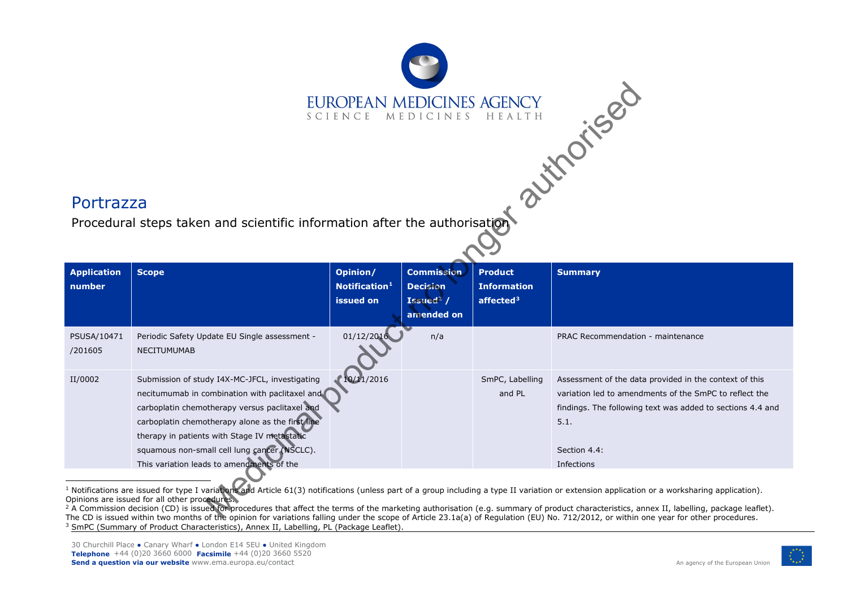## <span id="page-0-2"></span><span id="page-0-1"></span><span id="page-0-0"></span>EUROPEAN MEDICINES AGENCY

## Portrazza

Procedural steps taken and scientific information after the authorisation

| <b>Application</b><br>number | <b>Scope</b>                                                                                                                                                                                                                                                                                                                                        | Opinion/<br>Notification <sup>1</sup><br>issued on | <b>Commission</b><br><b>Decision</b><br>Issued <sup>2</sup> /<br>amended on | <b>Product</b><br><b>Information</b><br>affected $3$ | <b>Summary</b>                                                                                                                                                                                                       |
|------------------------------|-----------------------------------------------------------------------------------------------------------------------------------------------------------------------------------------------------------------------------------------------------------------------------------------------------------------------------------------------------|----------------------------------------------------|-----------------------------------------------------------------------------|------------------------------------------------------|----------------------------------------------------------------------------------------------------------------------------------------------------------------------------------------------------------------------|
| PSUSA/10471<br>/201605       | Periodic Safety Update EU Single assessment -<br><b>NECITUMUMAB</b>                                                                                                                                                                                                                                                                                 | 01/12/2016                                         | n/a                                                                         |                                                      | PRAC Recommendation - maintenance                                                                                                                                                                                    |
| II/0002                      | Submission of study I4X-MC-JFCL, investigating<br>necitumumab in combination with paclitaxel and<br>carboplatin chemotherapy versus paclitaxel and<br>carboplatin chemotherapy alone as the first line<br>therapy in patients with Stage IV metastatic<br>squamous non-small cell lung cancer (NSCLC).<br>This variation leads to amendments of the | 10/11/2016                                         |                                                                             | SmPC, Labelling<br>and PL                            | Assessment of the data provided in the context of this<br>variation led to amendments of the SmPC to reflect the<br>findings. The following text was added to sections 4.4 and<br>5.1.<br>Section 4.4:<br>Infections |

 $^1$  Notifications are issued for type I variations and Article 61(3) notifications (unless part of a group including a type II variation or extension application or a worksharing application). Opinions are issued for all other procedures.

<sup>2</sup> A Commission decision (CD) is issued for procedures that affect the terms of the marketing authorisation (e.g. summary of product characteristics, annex II, labelling, package leaflet). The CD is issued within two months of the opinion for variations falling under the scope of Article 23.1a(a) of Regulation (EU) No. 712/2012, or within one year for other procedures. <sup>3</sup> SmPC (Summary of Product Characteristics), Annex II, Labelling, PL (Package Leaflet).

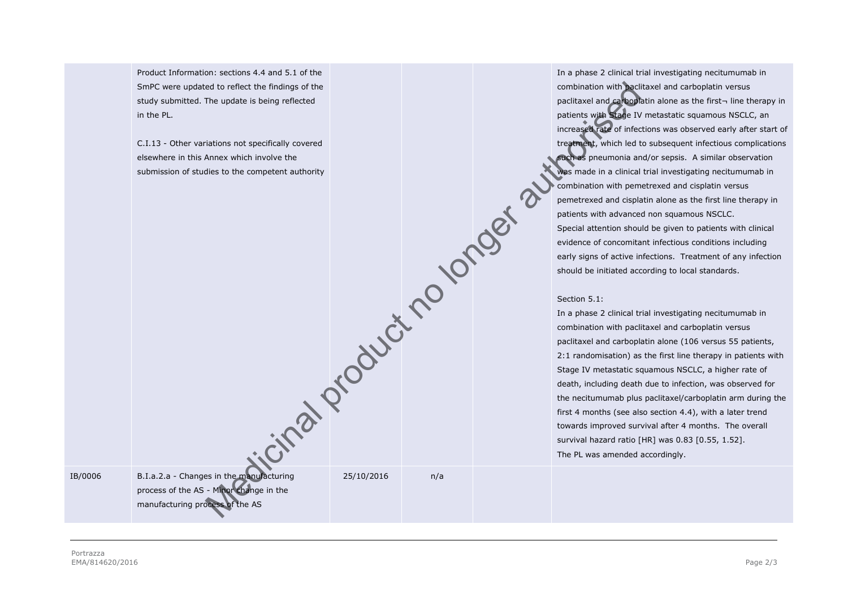Product Information: sections 4.4 and 5.1 of the SmPC were updated to reflect the findings of the study submitted. The update is being reflected in the PL.

C.I.13 - Other variations not specifically covered elsewhere in this Annex which involve the submission of studies to the competent authority cinal product no longer au

In a phase 2 clinical trial investigating necitumumab in combination with paclitaxel and carboplatin versus paclitaxel and carboplatin alone as the first¬ line therapy in patients with Stage IV metastatic squamous NSCLC, an increased rate of infections was observed early after start of treatment, which led to subsequent infectious complications such as pneumonia and/or sepsis. A similar observation was made in a clinical trial investigating necitumumab in combination with pemetrexed and cisplatin versus pemetrexed and cisplatin alone as the first line therapy in patients with advanced non squamous NSCLC. Special attention should be given to patients with clinical evidence of concomitant infectious conditions including early signs of active infections. Treatment of any infection should be initiated according to local standards.

## Section 5.1:

In a phase 2 clinical trial investigating necitumumab in combination with paclitaxel and carboplatin versus paclitaxel and carboplatin alone (106 versus 55 patients, 2:1 randomisation) as the first line therapy in patients with Stage IV metastatic squamous NSCLC, a higher rate of death, including death due to infection, was observed for the necitumumab plus paclitaxel/carboplatin arm during the first 4 months (see also section 4.4), with a later trend towards improved survival after 4 months. The overall survival hazard ratio [HR] was 0.83 [0.55, 1.52]. The PL was amended accordingly.

IB/0006 B.I.a.2.a - Changes in the manufacturing

process of the AS - Minor change in the manufacturing process of the AS

25/10/2016 n/a